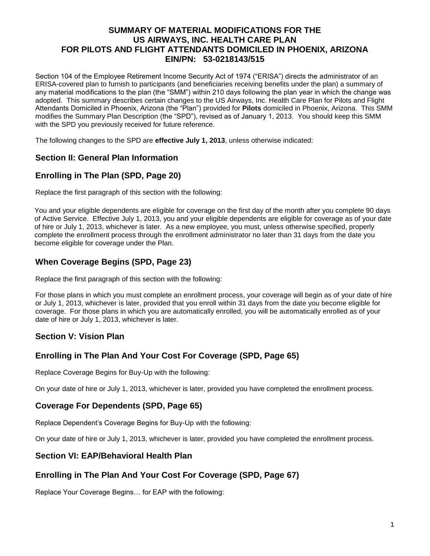### **SUMMARY OF MATERIAL MODIFICATIONS FOR THE US AIRWAYS, INC. HEALTH CARE PLAN FOR PILOTS AND FLIGHT ATTENDANTS DOMICILED IN PHOENIX, ARIZONA EIN/PN: 53-0218143/515**

Section 104 of the Employee Retirement Income Security Act of 1974 ("ERISA") directs the administrator of an ERISA-covered plan to furnish to participants (and beneficiaries receiving benefits under the plan) a summary of any material modifications to the plan (the "SMM") within 210 days following the plan year in which the change was adopted. This summary describes certain changes to the US Airways, Inc. Health Care Plan for Pilots and Flight Attendants Domiciled in Phoenix, Arizona (the "Plan") provided for **Pilots** domiciled in Phoenix, Arizona. This SMM modifies the Summary Plan Description (the "SPD"), revised as of January 1, 2013. You should keep this SMM with the SPD you previously received for future reference.

The following changes to the SPD are **effective July 1, 2013**, unless otherwise indicated:

### **Section II: General Plan Information**

# **Enrolling in The Plan (SPD, Page 20)**

Replace the first paragraph of this section with the following:

You and your eligible dependents are eligible for coverage on the first day of the month after you complete 90 days of Active Service. Effective July 1, 2013, you and your eligible dependents are eligible for coverage as of your date of hire or July 1, 2013, whichever is later. As a new employee, you must, unless otherwise specified, properly complete the enrollment process through the enrollment administrator no later than 31 days from the date you become eligible for coverage under the Plan.

# **When Coverage Begins (SPD, Page 23)**

Replace the first paragraph of this section with the following:

For those plans in which you must complete an enrollment process, your coverage will begin as of your date of hire or July 1, 2013, whichever is later, provided that you enroll within 31 days from the date you become eligible for coverage. For those plans in which you are automatically enrolled, you will be automatically enrolled as of your date of hire or July 1, 2013, whichever is later.

## **Section V: Vision Plan**

## **Enrolling in The Plan And Your Cost For Coverage (SPD, Page 65)**

Replace Coverage Begins for Buy-Up with the following:

On your date of hire or July 1, 2013, whichever is later, provided you have completed the enrollment process.

#### **Coverage For Dependents (SPD, Page 65)**

Replace Dependent's Coverage Begins for Buy-Up with the following:

On your date of hire or July 1, 2013, whichever is later, provided you have completed the enrollment process.

### **Section VI: EAP/Behavioral Health Plan**

## **Enrolling in The Plan And Your Cost For Coverage (SPD, Page 67)**

Replace Your Coverage Begins… for EAP with the following: